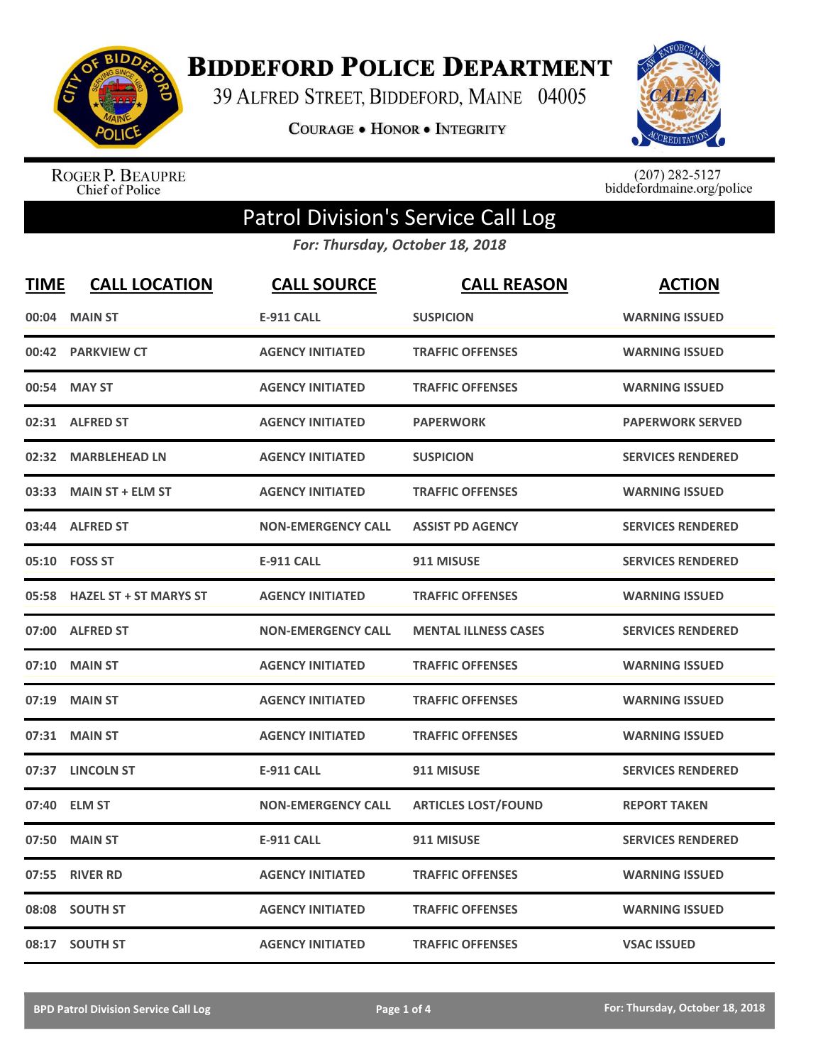

**BIDDEFORD POLICE DEPARTMENT** 

39 ALFRED STREET, BIDDEFORD, MAINE 04005

**COURAGE . HONOR . INTEGRITY** 



ROGER P. BEAUPRE<br>Chief of Police

 $(207)$  282-5127<br>biddefordmaine.org/police

## Patrol Division's Service Call Log

*For: Thursday, October 18, 2018*

| <b>TIME</b> | <b>CALL LOCATION</b>          | <b>CALL SOURCE</b>        | <b>CALL REASON</b>          | <b>ACTION</b>            |
|-------------|-------------------------------|---------------------------|-----------------------------|--------------------------|
| 00:04       | <b>MAIN ST</b>                | <b>E-911 CALL</b>         | <b>SUSPICION</b>            | <b>WARNING ISSUED</b>    |
| 00:42       | <b>PARKVIEW CT</b>            | <b>AGENCY INITIATED</b>   | <b>TRAFFIC OFFENSES</b>     | <b>WARNING ISSUED</b>    |
| 00:54       | <b>MAY ST</b>                 | <b>AGENCY INITIATED</b>   | <b>TRAFFIC OFFENSES</b>     | <b>WARNING ISSUED</b>    |
| 02:31       | <b>ALFRED ST</b>              | <b>AGENCY INITIATED</b>   | <b>PAPERWORK</b>            | <b>PAPERWORK SERVED</b>  |
| 02:32       | <b>MARBLEHEAD LN</b>          | <b>AGENCY INITIATED</b>   | <b>SUSPICION</b>            | <b>SERVICES RENDERED</b> |
| 03:33       | <b>MAIN ST + ELM ST</b>       | <b>AGENCY INITIATED</b>   | <b>TRAFFIC OFFENSES</b>     | <b>WARNING ISSUED</b>    |
| 03:44       | <b>ALFRED ST</b>              | <b>NON-EMERGENCY CALL</b> | <b>ASSIST PD AGENCY</b>     | <b>SERVICES RENDERED</b> |
| 05:10       | <b>FOSS ST</b>                | <b>E-911 CALL</b>         | 911 MISUSE                  | <b>SERVICES RENDERED</b> |
| 05:58       | <b>HAZEL ST + ST MARYS ST</b> | <b>AGENCY INITIATED</b>   | <b>TRAFFIC OFFENSES</b>     | <b>WARNING ISSUED</b>    |
|             | 07:00 ALFRED ST               | <b>NON-EMERGENCY CALL</b> | <b>MENTAL ILLNESS CASES</b> | <b>SERVICES RENDERED</b> |
| 07:10       | <b>MAIN ST</b>                | <b>AGENCY INITIATED</b>   | <b>TRAFFIC OFFENSES</b>     | <b>WARNING ISSUED</b>    |
| 07:19       | <b>MAIN ST</b>                | <b>AGENCY INITIATED</b>   | <b>TRAFFIC OFFENSES</b>     | <b>WARNING ISSUED</b>    |
| 07:31       | <b>MAIN ST</b>                | <b>AGENCY INITIATED</b>   | <b>TRAFFIC OFFENSES</b>     | <b>WARNING ISSUED</b>    |
| 07:37       | <b>LINCOLN ST</b>             | <b>E-911 CALL</b>         | 911 MISUSE                  | <b>SERVICES RENDERED</b> |
| 07:40       | <b>ELM ST</b>                 | <b>NON-EMERGENCY CALL</b> | <b>ARTICLES LOST/FOUND</b>  | <b>REPORT TAKEN</b>      |
| 07:50       | <b>MAIN ST</b>                | <b>E-911 CALL</b>         | 911 MISUSE                  | <b>SERVICES RENDERED</b> |
| 07:55       | <b>RIVER RD</b>               | <b>AGENCY INITIATED</b>   | <b>TRAFFIC OFFENSES</b>     | <b>WARNING ISSUED</b>    |
| 08:08       | <b>SOUTH ST</b>               | <b>AGENCY INITIATED</b>   | <b>TRAFFIC OFFENSES</b>     | <b>WARNING ISSUED</b>    |
|             | 08:17 SOUTH ST                | <b>AGENCY INITIATED</b>   | <b>TRAFFIC OFFENSES</b>     | <b>VSAC ISSUED</b>       |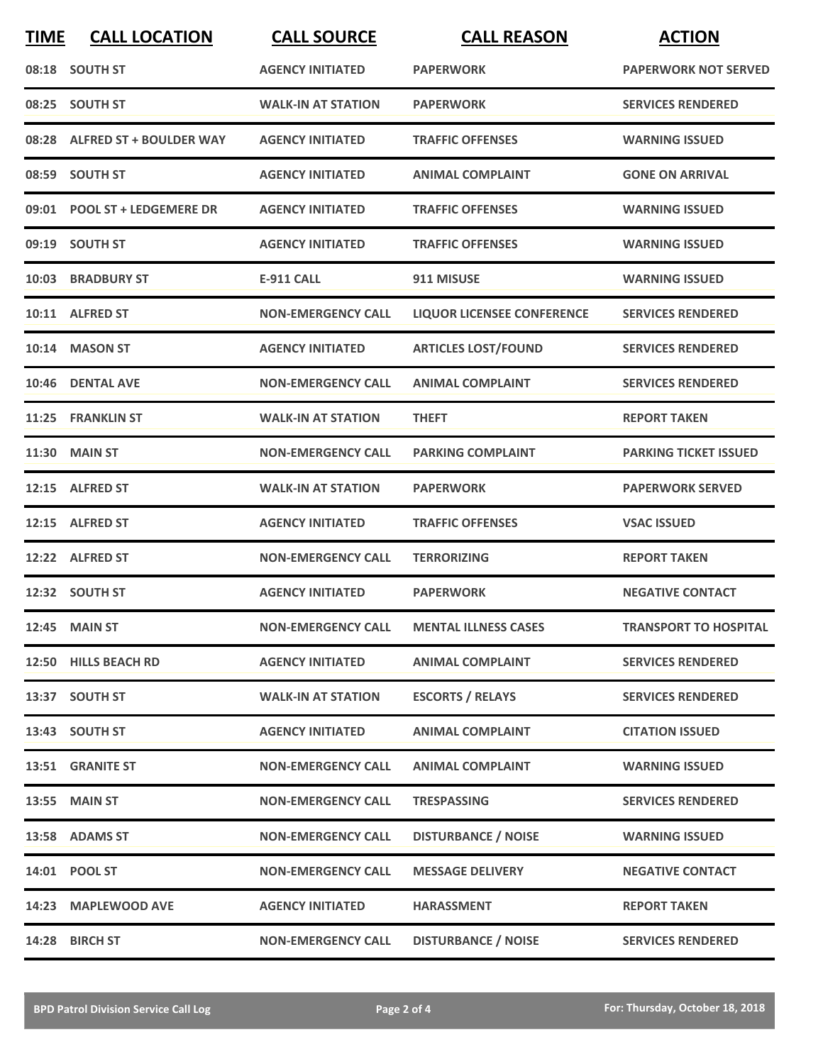| <b>TIME</b> | <b>CALL LOCATION</b>          | <b>CALL SOURCE</b>        | <b>CALL REASON</b>                | <b>ACTION</b>                |
|-------------|-------------------------------|---------------------------|-----------------------------------|------------------------------|
|             | 08:18 SOUTH ST                | <b>AGENCY INITIATED</b>   | <b>PAPERWORK</b>                  | <b>PAPERWORK NOT SERVED</b>  |
|             | 08:25 SOUTH ST                | <b>WALK-IN AT STATION</b> | <b>PAPERWORK</b>                  | <b>SERVICES RENDERED</b>     |
|             | 08:28 ALFRED ST + BOULDER WAY | <b>AGENCY INITIATED</b>   | <b>TRAFFIC OFFENSES</b>           | <b>WARNING ISSUED</b>        |
|             | 08:59 SOUTH ST                | <b>AGENCY INITIATED</b>   | <b>ANIMAL COMPLAINT</b>           | <b>GONE ON ARRIVAL</b>       |
|             | 09:01 POOL ST + LEDGEMERE DR  | <b>AGENCY INITIATED</b>   | <b>TRAFFIC OFFENSES</b>           | <b>WARNING ISSUED</b>        |
|             | 09:19 SOUTH ST                | <b>AGENCY INITIATED</b>   | <b>TRAFFIC OFFENSES</b>           | <b>WARNING ISSUED</b>        |
| 10:03       | <b>BRADBURY ST</b>            | <b>E-911 CALL</b>         | 911 MISUSE                        | <b>WARNING ISSUED</b>        |
|             | 10:11 ALFRED ST               | <b>NON-EMERGENCY CALL</b> | <b>LIQUOR LICENSEE CONFERENCE</b> | <b>SERVICES RENDERED</b>     |
| 10:14       | <b>MASON ST</b>               | <b>AGENCY INITIATED</b>   | <b>ARTICLES LOST/FOUND</b>        | <b>SERVICES RENDERED</b>     |
| 10:46       | <b>DENTAL AVE</b>             | <b>NON-EMERGENCY CALL</b> | <b>ANIMAL COMPLAINT</b>           | <b>SERVICES RENDERED</b>     |
|             | 11:25 FRANKLIN ST             | <b>WALK-IN AT STATION</b> | <b>THEFT</b>                      | <b>REPORT TAKEN</b>          |
| 11:30       | <b>MAIN ST</b>                | <b>NON-EMERGENCY CALL</b> | <b>PARKING COMPLAINT</b>          | <b>PARKING TICKET ISSUED</b> |
|             | 12:15 ALFRED ST               | <b>WALK-IN AT STATION</b> | <b>PAPERWORK</b>                  | <b>PAPERWORK SERVED</b>      |
| 12:15       | <b>ALFRED ST</b>              | <b>AGENCY INITIATED</b>   | <b>TRAFFIC OFFENSES</b>           | <b>VSAC ISSUED</b>           |
|             | 12:22 ALFRED ST               | <b>NON-EMERGENCY CALL</b> | <b>TERRORIZING</b>                | <b>REPORT TAKEN</b>          |
|             | 12:32 SOUTH ST                | <b>AGENCY INITIATED</b>   | <b>PAPERWORK</b>                  | <b>NEGATIVE CONTACT</b>      |
|             | 12:45 MAIN ST                 | <b>NON-EMERGENCY CALL</b> | <b>MENTAL ILLNESS CASES</b>       | <b>TRANSPORT TO HOSPITAL</b> |
|             | 12:50 HILLS BEACH RD          | <b>AGENCY INITIATED</b>   | <b>ANIMAL COMPLAINT</b>           | <b>SERVICES RENDERED</b>     |
|             | 13:37 SOUTH ST                | <b>WALK-IN AT STATION</b> | <b>ESCORTS / RELAYS</b>           | <b>SERVICES RENDERED</b>     |
|             | 13:43 SOUTH ST                | <b>AGENCY INITIATED</b>   | <b>ANIMAL COMPLAINT</b>           | <b>CITATION ISSUED</b>       |
|             | 13:51 GRANITE ST              | <b>NON-EMERGENCY CALL</b> | <b>ANIMAL COMPLAINT</b>           | <b>WARNING ISSUED</b>        |
|             | 13:55 MAIN ST                 | <b>NON-EMERGENCY CALL</b> | <b>TRESPASSING</b>                | <b>SERVICES RENDERED</b>     |
|             | 13:58 ADAMS ST                | <b>NON-EMERGENCY CALL</b> | <b>DISTURBANCE / NOISE</b>        | <b>WARNING ISSUED</b>        |
|             | 14:01 POOL ST                 | <b>NON-EMERGENCY CALL</b> | <b>MESSAGE DELIVERY</b>           | <b>NEGATIVE CONTACT</b>      |
|             | 14:23 MAPLEWOOD AVE           | <b>AGENCY INITIATED</b>   | <b>HARASSMENT</b>                 | <b>REPORT TAKEN</b>          |
|             | 14:28 BIRCH ST                | <b>NON-EMERGENCY CALL</b> | <b>DISTURBANCE / NOISE</b>        | <b>SERVICES RENDERED</b>     |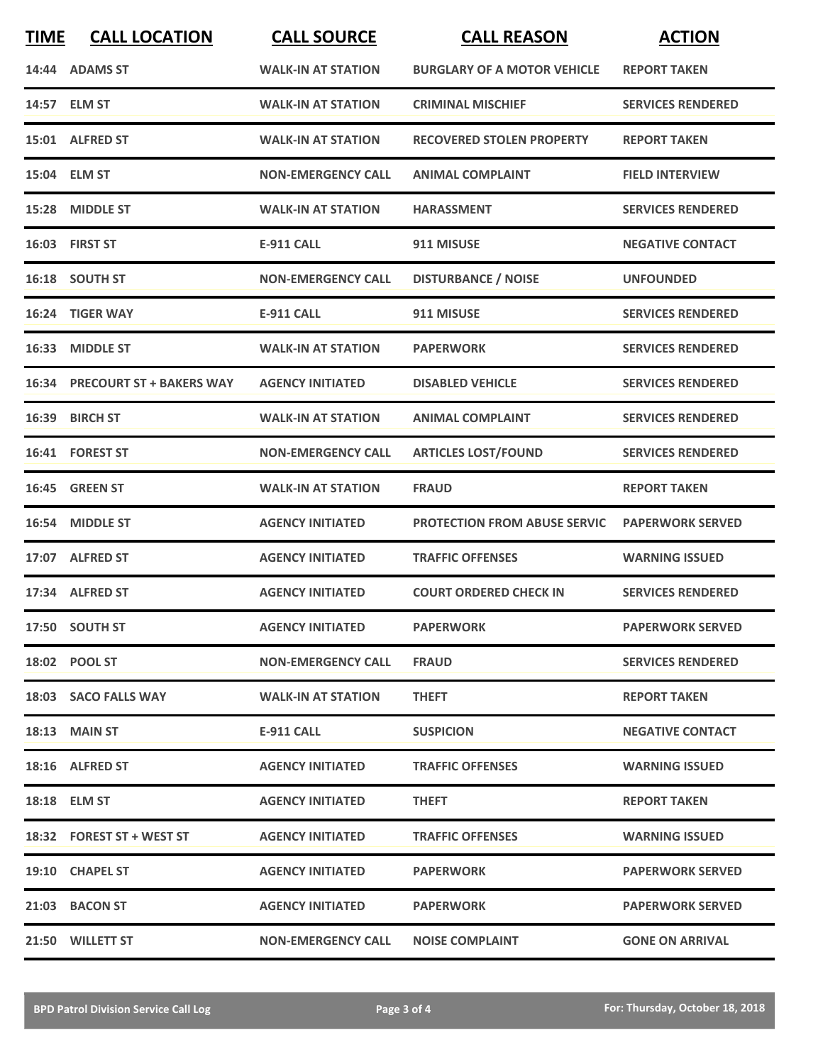| <b>TIME</b> | <b>CALL LOCATION</b>           | <b>CALL SOURCE</b>        | <b>CALL REASON</b>                  | <b>ACTION</b>            |
|-------------|--------------------------------|---------------------------|-------------------------------------|--------------------------|
|             | 14:44 ADAMS ST                 | <b>WALK-IN AT STATION</b> | <b>BURGLARY OF A MOTOR VEHICLE</b>  | <b>REPORT TAKEN</b>      |
|             | 14:57 ELM ST                   | <b>WALK-IN AT STATION</b> | <b>CRIMINAL MISCHIEF</b>            | <b>SERVICES RENDERED</b> |
|             | 15:01 ALFRED ST                | <b>WALK-IN AT STATION</b> | <b>RECOVERED STOLEN PROPERTY</b>    | <b>REPORT TAKEN</b>      |
|             | 15:04 ELM ST                   | <b>NON-EMERGENCY CALL</b> | <b>ANIMAL COMPLAINT</b>             | <b>FIELD INTERVIEW</b>   |
|             | 15:28 MIDDLE ST                | <b>WALK-IN AT STATION</b> | <b>HARASSMENT</b>                   | <b>SERVICES RENDERED</b> |
|             | 16:03 FIRST ST                 | <b>E-911 CALL</b>         | 911 MISUSE                          | <b>NEGATIVE CONTACT</b>  |
|             | 16:18 SOUTH ST                 | <b>NON-EMERGENCY CALL</b> | <b>DISTURBANCE / NOISE</b>          | <b>UNFOUNDED</b>         |
|             | 16:24 TIGER WAY                | <b>E-911 CALL</b>         | 911 MISUSE                          | <b>SERVICES RENDERED</b> |
| 16:33       | <b>MIDDLE ST</b>               | <b>WALK-IN AT STATION</b> | <b>PAPERWORK</b>                    | <b>SERVICES RENDERED</b> |
|             | 16:34 PRECOURT ST + BAKERS WAY | <b>AGENCY INITIATED</b>   | <b>DISABLED VEHICLE</b>             | <b>SERVICES RENDERED</b> |
|             | 16:39 BIRCH ST                 | <b>WALK-IN AT STATION</b> | <b>ANIMAL COMPLAINT</b>             | <b>SERVICES RENDERED</b> |
|             | 16:41 FOREST ST                | <b>NON-EMERGENCY CALL</b> | <b>ARTICLES LOST/FOUND</b>          | <b>SERVICES RENDERED</b> |
|             | 16:45 GREEN ST                 | <b>WALK-IN AT STATION</b> | <b>FRAUD</b>                        | <b>REPORT TAKEN</b>      |
|             | 16:54 MIDDLE ST                | <b>AGENCY INITIATED</b>   | <b>PROTECTION FROM ABUSE SERVIC</b> | <b>PAPERWORK SERVED</b>  |
|             | 17:07 ALFRED ST                | <b>AGENCY INITIATED</b>   | <b>TRAFFIC OFFENSES</b>             | <b>WARNING ISSUED</b>    |
|             | 17:34 ALFRED ST                | <b>AGENCY INITIATED</b>   | <b>COURT ORDERED CHECK IN</b>       | <b>SERVICES RENDERED</b> |
|             | 17:50 SOUTH ST                 | <b>AGENCY INITIATED</b>   | <b>PAPERWORK</b>                    | <b>PAPERWORK SERVED</b>  |
|             | 18:02 POOL ST                  | <b>NON-EMERGENCY CALL</b> | <b>FRAUD</b>                        | <b>SERVICES RENDERED</b> |
|             | 18:03 SACO FALLS WAY           | <b>WALK-IN AT STATION</b> | <b>THEFT</b>                        | <b>REPORT TAKEN</b>      |
|             | <b>18:13 MAIN ST</b>           | <b>E-911 CALL</b>         | <b>SUSPICION</b>                    | <b>NEGATIVE CONTACT</b>  |
|             | 18:16 ALFRED ST                | <b>AGENCY INITIATED</b>   | <b>TRAFFIC OFFENSES</b>             | <b>WARNING ISSUED</b>    |
|             | 18:18 ELM ST                   | <b>AGENCY INITIATED</b>   | <b>THEFT</b>                        | <b>REPORT TAKEN</b>      |
|             | 18:32 FOREST ST + WEST ST      | <b>AGENCY INITIATED</b>   | <b>TRAFFIC OFFENSES</b>             | <b>WARNING ISSUED</b>    |
|             | 19:10 CHAPEL ST                | <b>AGENCY INITIATED</b>   | <b>PAPERWORK</b>                    | <b>PAPERWORK SERVED</b>  |
|             | 21:03 BACON ST                 | <b>AGENCY INITIATED</b>   | <b>PAPERWORK</b>                    | <b>PAPERWORK SERVED</b>  |
|             | 21:50 WILLETT ST               | <b>NON-EMERGENCY CALL</b> | <b>NOISE COMPLAINT</b>              | <b>GONE ON ARRIVAL</b>   |